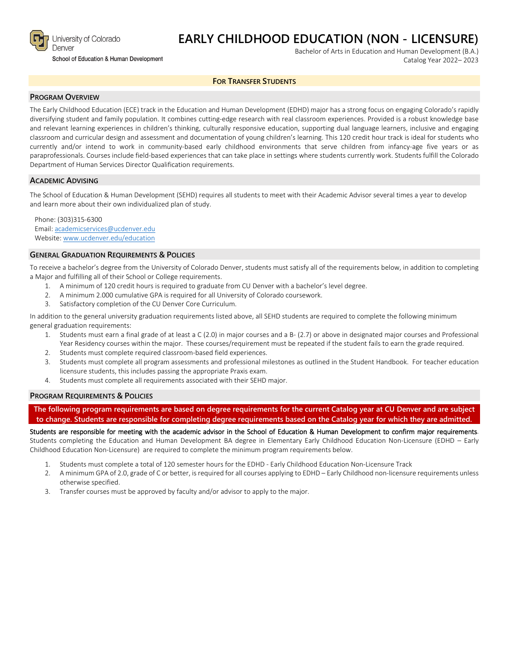

### **EARLY CHILDHOOD EDUCATION (NON - LICENSURE)**

School of Education & Human Development

Bachelor of Arts in Education and Human Development (B.A.) Catalog Year 2022– 2023

#### **FOR TRANSFER STUDENTS**

#### **PROGRAM OVERVIEW**

The Early Childhood Education (ECE) track in the Education and Human Development (EDHD) major has a strong focus on engaging Colorado's rapidly diversifying student and family population. It combines cutting-edge research with real classroom experiences. Provided is a robust knowledge base and relevant learning experiences in children's thinking, culturally responsive education, supporting dual language learners, inclusive and engaging classroom and curricular design and assessment and documentation of young children's learning. This 120 credit hour track is ideal for students who currently and/or intend to work in community-based early childhood environments that serve children from infancy-age five years or as paraprofessionals. Courses include field-based experiences that can take place in settings where students currently work. Students fulfill the Colorado Department of Human Services Director Qualification requirements.

#### **ACADEMIC ADVISING**

The School of Education & Human Development (SEHD) requires all students to meet with their Academic Advisor several times a year to develop and learn more about their own individualized plan of study.

Phone: (303)315-6300 Email: [academicservices@ucdenver.edu](mailto:academicservices@ucdenver.edu) Website[: www.ucdenver.edu/education](http://www.ucdenver.edu/education)

#### **GENERAL GRADUATION REQUIREMENTS & POLICIES**

To receive a bachelor's degree from the University of Colorado Denver, students must satisfy all of the requirements below, in addition to completing a Major and fulfilling all of their School or College requirements.

- 1. A minimum of 120 credit hours is required to graduate from CU Denver with a bachelor's level degree.
- 2. A minimum 2.000 cumulative GPA is required for all University of Colorado coursework.
- 3. Satisfactory completion of the CU Denver Core Curriculum.

In addition to the general university graduation requirements listed above, all SEHD students are required to complete the following minimum general graduation requirements:

- 1. Students must earn a final grade of at least a C (2.0) in major courses and a B- (2.7) or above in designated major courses and Professional Year Residency courses within the major. These courses/requirement must be repeated if the student fails to earn the grade required.
- 2. Students must complete required classroom-based field experiences.
- 3. Students must complete all program assessments and professional milestones as outlined in the Student Handbook. For teacher education licensure students, this includes passing the appropriate Praxis exam.
- 4. Students must complete all requirements associated with their SEHD major.

#### **PROGRAM REQUIREMENTS & POLICIES**

**The following program requirements are based on degree requirements for the current Catalog year at CU Denver and are subject to change. Students are responsible for completing degree requirements based on the Catalog year for which they are admitted.**

Students are responsible for meeting with the academic advisor in the School of Education & Human Development to confirm major requirements. Students completing the Education and Human Development BA degree in Elementary Early Childhood Education Non-Licensure (EDHD – Early Childhood Education Non-Licensure) are required to complete the minimum program requirements below.

- 1. Students must complete a total of 120 semester hours for the EDHD Early Childhood Education Non-Licensure Track
- 2. A minimum GPA of 2.0, grade of C or better, is required for all courses applying to EDHD Early Childhood non-licensure requirements unless otherwise specified.
- 3. Transfer courses must be approved by faculty and/or advisor to apply to the major.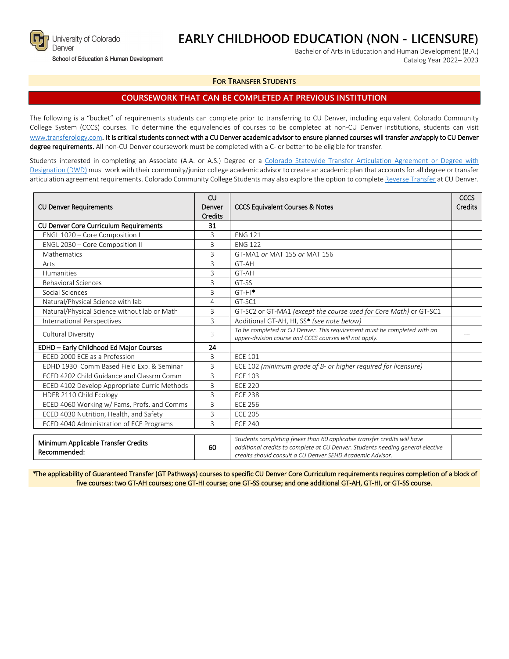

School of Education & Human Development

# **EARLY CHILDHOOD EDUCATION (NON - LICENSURE)**

Bachelor of Arts in Education and Human Development (B.A.) Catalog Year 2022– 2023

#### **FOR TRANSFER STUDENTS**

### **COURSEWORK THAT CAN BE COMPLETED AT PREVIOUS INSTITUTION**

The following is a "bucket" of requirements students can complete prior to transferring to CU Denver, including equivalent Colorado Community College System (CCCS) courses. To determine the equivalencies of courses to be completed at non-CU Denver institutions, students can visit [www.transferology.com](http://www.transferology.com/)**.** It is critical students connect with a CU Denver academic advisor to ensure planned courses will transfer and apply to CU Denver degree requirements. All non-CU Denver coursework must be completed with a C- or better to be eligible for transfer.

Students interested in completing an Associate (A.A. or A.S.) Degree or a [Colorado Statewide Transfer Articulation Agreement or Degree with](https://highered.colorado.gov/Academics/Transfers/TransferDegrees.html)  [Designation \(DWD\)](https://highered.colorado.gov/Academics/Transfers/TransferDegrees.html) must work with their community/junior college academic advisor to create an academic plan that accounts for all degree or transfer articulation agreement requirements. Colorado Community College Students may also explore the option to complet[e Reverse Transfer](https://degreewithinreach.wordpress.com/) at CU Denver.

| <b>CU Denver Requirements</b>                       | CU<br>Denver<br>Credits | <b>CCCS Equivalent Courses &amp; Notes</b>                                                                                                                                                                             |  |
|-----------------------------------------------------|-------------------------|------------------------------------------------------------------------------------------------------------------------------------------------------------------------------------------------------------------------|--|
| <b>CU Denver Core Curriculum Requirements</b>       | 31                      |                                                                                                                                                                                                                        |  |
| ENGL 1020 - Core Composition I                      | 3                       | <b>ENG 121</b>                                                                                                                                                                                                         |  |
| ENGL 2030 - Core Composition II                     | 3                       | <b>ENG 122</b>                                                                                                                                                                                                         |  |
| Mathematics                                         | 3                       | GT-MA1 or MAT 155 or MAT 156                                                                                                                                                                                           |  |
| Arts                                                | 3                       | GT-AH                                                                                                                                                                                                                  |  |
| Humanities                                          | 3                       | GT-AH                                                                                                                                                                                                                  |  |
| <b>Behavioral Sciences</b>                          | 3                       | GT-SS                                                                                                                                                                                                                  |  |
| Social Sciences                                     | 3                       | $GT-HI^*$                                                                                                                                                                                                              |  |
| Natural/Physical Science with lab                   | 4                       | GT-SC1                                                                                                                                                                                                                 |  |
| Natural/Physical Science without lab or Math        | 3                       | GT-SC2 or GT-MA1 (except the course used for Core Math) or GT-SC1                                                                                                                                                      |  |
| <b>International Perspectives</b>                   | 3                       | Additional GT-AH, HI, SS* (see note below)                                                                                                                                                                             |  |
| Cultural Diversity                                  | 3                       | To be completed at CU Denver. This requirement must be completed with an<br>upper-division course and CCCS courses will not apply.                                                                                     |  |
| EDHD - Early Childhood Ed Major Courses             | 24                      |                                                                                                                                                                                                                        |  |
| ECED 2000 ECE as a Profession                       | 3                       | <b>ECE 101</b>                                                                                                                                                                                                         |  |
| EDHD 1930 Comm Based Field Exp. & Seminar           | 3                       | ECE 102 (minimum grade of B- or higher required for licensure)                                                                                                                                                         |  |
| ECED 4202 Child Guidance and Classrm Comm           | 3                       | <b>ECE 103</b>                                                                                                                                                                                                         |  |
| ECED 4102 Develop Appropriate Curric Methods        | 3                       | <b>ECE 220</b>                                                                                                                                                                                                         |  |
| HDFR 2110 Child Ecology                             | 3                       | <b>ECE 238</b>                                                                                                                                                                                                         |  |
| ECED 4060 Working w/ Fams, Profs, and Comms         | 3                       | <b>FCE 256</b>                                                                                                                                                                                                         |  |
| ECED 4030 Nutrition, Health, and Safety             | 3                       | <b>ECE 205</b>                                                                                                                                                                                                         |  |
| ECED 4040 Administration of ECE Programs            | 3                       | <b>FCE 240</b>                                                                                                                                                                                                         |  |
| Minimum Applicable Transfer Credits<br>Recommended: | 60                      | Students completing fewer than 60 applicable transfer credits will have<br>additional credits to complete at CU Denver. Students needing general elective<br>credits should consult a CU Denver SFHD Academic Advisor. |  |

\*The applicability of Guaranteed Transfer (GT Pathways) courses to specific CU Denver Core Curriculum requirements requires completion of a block of five courses: two GT-AH courses; one GT-HI course; one GT-SS course; and one additional GT-AH, GT-HI, or GT-SS course.